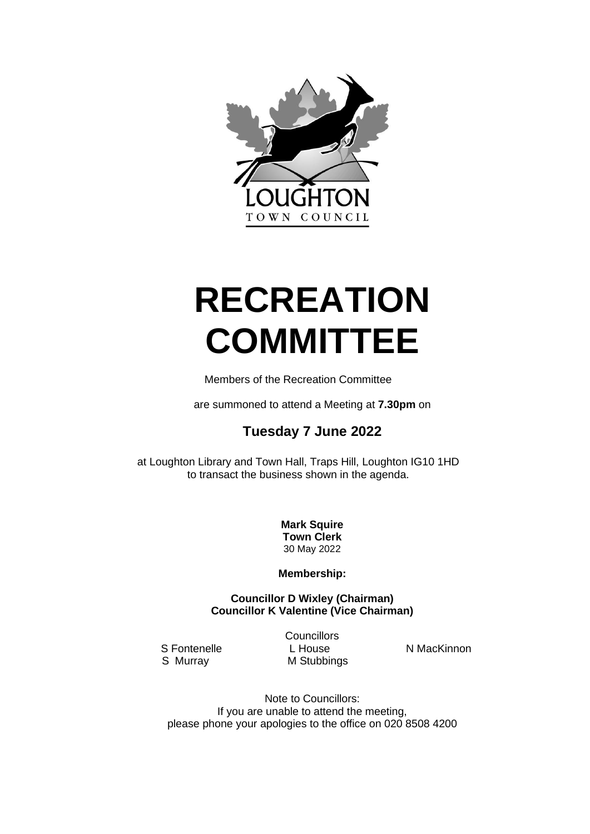

# **RECREATION COMMITTEE**

Members of the Recreation Committee

are summoned to attend a Meeting at **7.30pm** on

# **Tuesday 7 June 2022**

at Loughton Library and Town Hall, Traps Hill, Loughton IG10 1HD to transact the business shown in the agenda.

> **Mark Squire Town Clerk** 30 May 2022

**Membership:**

**Councillor D Wixley (Chairman) Councillor K Valentine (Vice Chairman)**

**Councillors** S Fontenelle L House N MacKinnon<br>
S Murray M Stubbings
N MacKinnon **M Stubbings** 

Note to Councillors: If you are unable to attend the meeting, please phone your apologies to the office on 020 8508 4200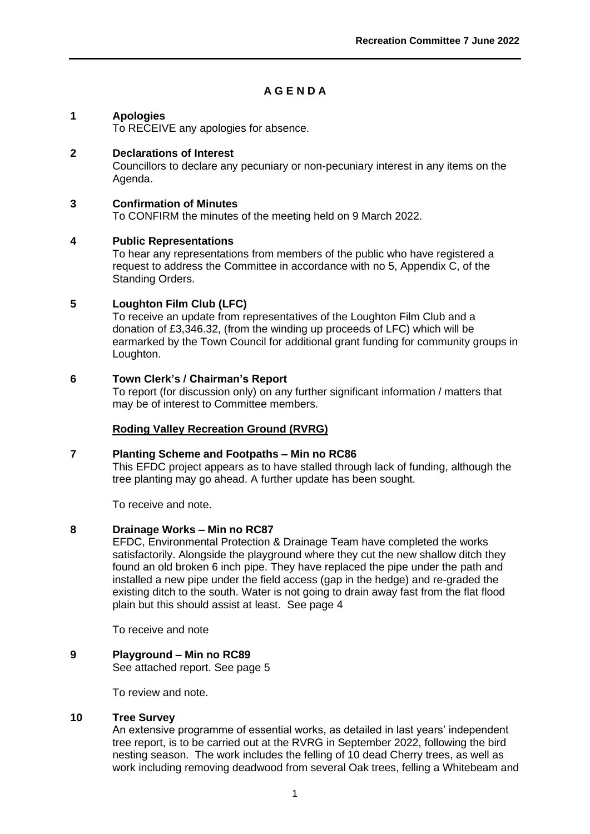# **A G E N D A**

# **1 Apologies**

To RECEIVE any apologies for absence.

# **2 Declarations of Interest**

Councillors to declare any pecuniary or non-pecuniary interest in any items on the Agenda.

## **3 Confirmation of Minutes**

To CONFIRM the minutes of the meeting held on 9 March 2022.

#### **4 Public Representations**

To hear any representations from members of the public who have registered a request to address the Committee in accordance with no 5, Appendix C, of the Standing Orders.

# **5 Loughton Film Club (LFC)**

To receive an update from representatives of the Loughton Film Club and a donation of £3,346.32, (from the winding up proceeds of LFC) which will be earmarked by the Town Council for additional grant funding for community groups in Loughton.

#### **6 Town Clerk's / Chairman's Report**

To report (for discussion only) on any further significant information / matters that may be of interest to Committee members.

# **Roding Valley Recreation Ground (RVRG)**

#### **7 Planting Scheme and Footpaths – Min no RC86**

This EFDC project appears as to have stalled through lack of funding, although the tree planting may go ahead. A further update has been sought.

To receive and note.

#### **8 Drainage Works – Min no RC87**

EFDC, Environmental Protection & Drainage Team have completed the works satisfactorily. Alongside the playground where they cut the new shallow ditch they found an old broken 6 inch pipe. They have replaced the pipe under the path and installed a new pipe under the field access (gap in the hedge) and re-graded the existing ditch to the south. Water is not going to drain away fast from the flat flood plain but this should assist at least. See page 4

To receive and note

# **9 Playground – Min no RC89**

See attached report. See page 5

To review and note.

#### **10 Tree Survey**

An extensive programme of essential works, as detailed in last years' independent tree report, is to be carried out at the RVRG in September 2022, following the bird nesting season. The work includes the felling of 10 dead Cherry trees, as well as work including removing deadwood from several Oak trees, felling a Whitebeam and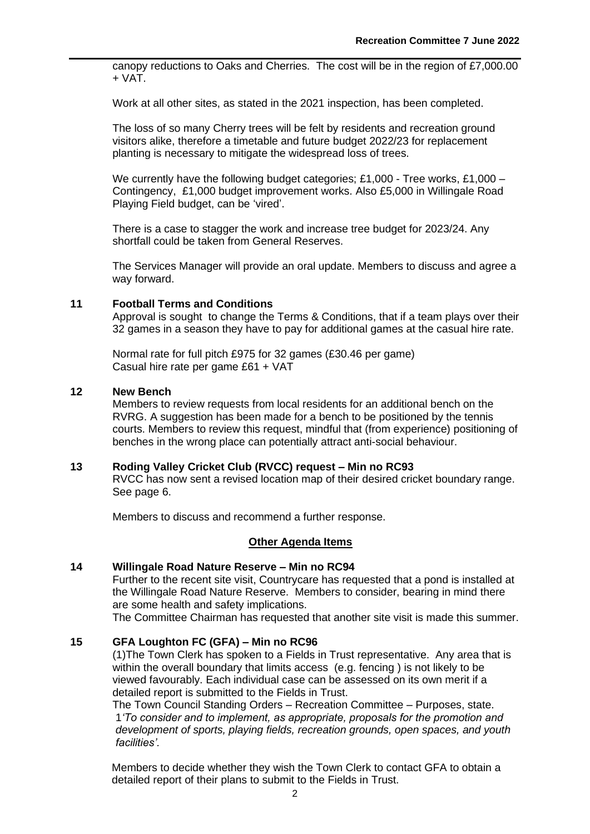canopy reductions to Oaks and Cherries. The cost will be in the region of £7,000.00 + VAT.

Work at all other sites, as stated in the 2021 inspection, has been completed.

The loss of so many Cherry trees will be felt by residents and recreation ground visitors alike, therefore a timetable and future budget 2022/23 for replacement planting is necessary to mitigate the widespread loss of trees.

We currently have the following budget categories; £1,000 - Tree works, £1,000 -Contingency, £1,000 budget improvement works. Also £5,000 in Willingale Road Playing Field budget, can be 'vired'.

There is a case to stagger the work and increase tree budget for 2023/24. Any shortfall could be taken from General Reserves.

The Services Manager will provide an oral update. Members to discuss and agree a way forward.

#### **11 Football Terms and Conditions**

Approval is sought to change the Terms & Conditions, that if a team plays over their 32 games in a season they have to pay for additional games at the casual hire rate.

Normal rate for full pitch £975 for 32 games (£30.46 per game) Casual hire rate per game £61 + VAT

#### **12 New Bench**

Members to review requests from local residents for an additional bench on the RVRG. A suggestion has been made for a bench to be positioned by the tennis courts. Members to review this request, mindful that (from experience) positioning of benches in the wrong place can potentially attract anti-social behaviour.

#### **13 Roding Valley Cricket Club (RVCC) request – Min no RC93**

RVCC has now sent a revised location map of their desired cricket boundary range. See page 6.

Members to discuss and recommend a further response.

#### **Other Agenda Items**

#### **14 Willingale Road Nature Reserve – Min no RC94**

Further to the recent site visit, Countrycare has requested that a pond is installed at the Willingale Road Nature Reserve. Members to consider, bearing in mind there are some health and safety implications.

The Committee Chairman has requested that another site visit is made this summer.

# **15 GFA Loughton FC (GFA) – Min no RC96**

(1)The Town Clerk has spoken to a Fields in Trust representative. Any area that is within the overall boundary that limits access (e.g. fencing) is not likely to be viewed favourably. Each individual case can be assessed on its own merit if a detailed report is submitted to the Fields in Trust.

The Town Council Standing Orders – Recreation Committee – Purposes, state. 1*'To consider and to implement, as appropriate, proposals for the promotion and development of sports, playing fields, recreation grounds, open spaces, and youth facilities'.*

Members to decide whether they wish the Town Clerk to contact GFA to obtain a detailed report of their plans to submit to the Fields in Trust.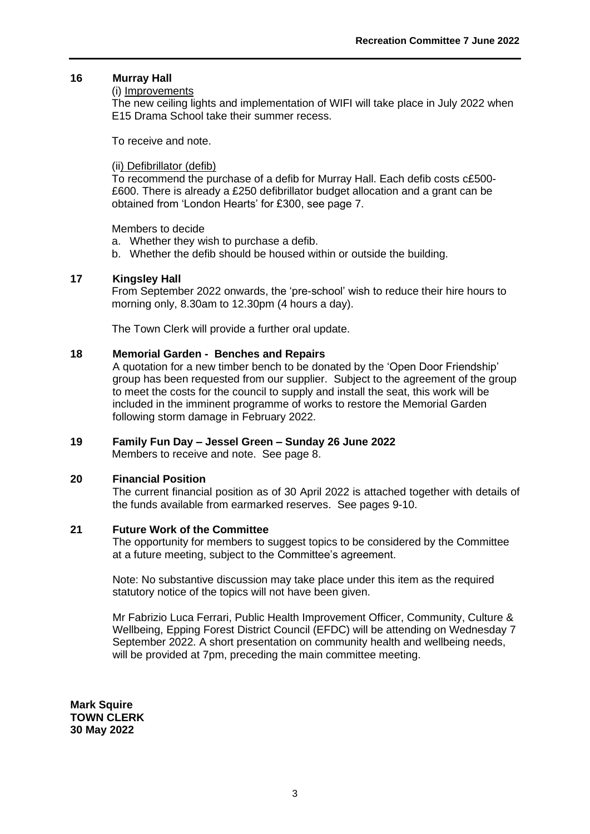#### **16 Murray Hall**

#### (i) Improvements

The new ceiling lights and implementation of WIFI will take place in July 2022 when E15 Drama School take their summer recess.

To receive and note.

#### (ii) Defibrillator (defib)

To recommend the purchase of a defib for Murray Hall. Each defib costs c£500- £600. There is already a £250 defibrillator budget allocation and a grant can be obtained from 'London Hearts' for £300, see page 7.

Members to decide

- a. Whether they wish to purchase a defib.
- b. Whether the defib should be housed within or outside the building.

#### **17 Kingsley Hall**

From September 2022 onwards, the 'pre-school' wish to reduce their hire hours to morning only, 8.30am to 12.30pm (4 hours a day).

The Town Clerk will provide a further oral update.

# **18 Memorial Garden - Benches and Repairs**

A quotation for a new timber bench to be donated by the 'Open Door Friendship' group has been requested from our supplier. Subject to the agreement of the group to meet the costs for the council to supply and install the seat, this work will be included in the imminent programme of works to restore the Memorial Garden following storm damage in February 2022.

# **19 Family Fun Day – Jessel Green – Sunday 26 June 2022**

Members to receive and note. See page 8.

#### **20 Financial Position**

The current financial position as of 30 April 2022 is attached together with details of the funds available from earmarked reserves. See pages 9-10.

#### **21 Future Work of the Committee**

The opportunity for members to suggest topics to be considered by the Committee at a future meeting, subject to the Committee's agreement.

Note: No substantive discussion may take place under this item as the required statutory notice of the topics will not have been given.

Mr Fabrizio Luca Ferrari, Public Health Improvement Officer, Community, Culture & Wellbeing, Epping Forest District Council (EFDC) will be attending on Wednesday 7 September 2022. A short presentation on community health and wellbeing needs, will be provided at 7pm, preceding the main committee meeting.

**Mark Squire TOWN CLERK 30 May 2022**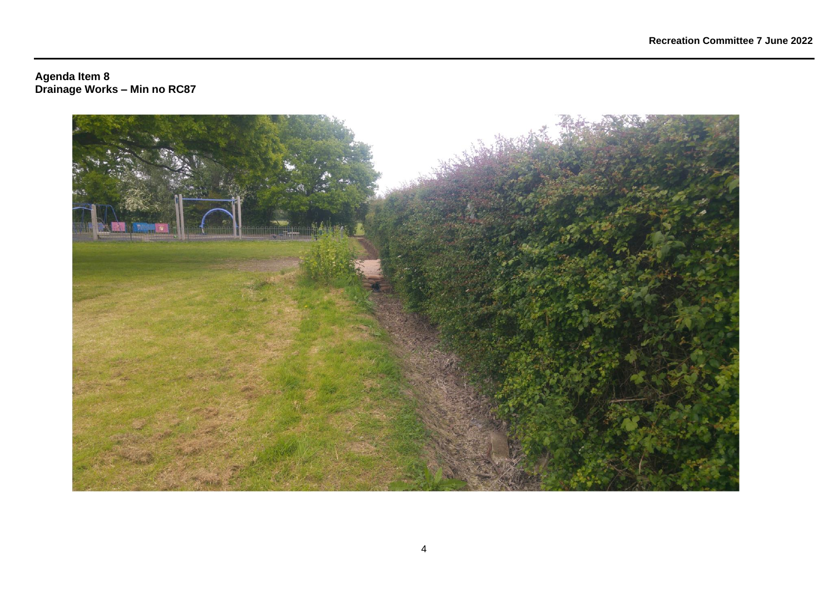#### **Agenda Item 8 Drainage Works – Min no RC87**

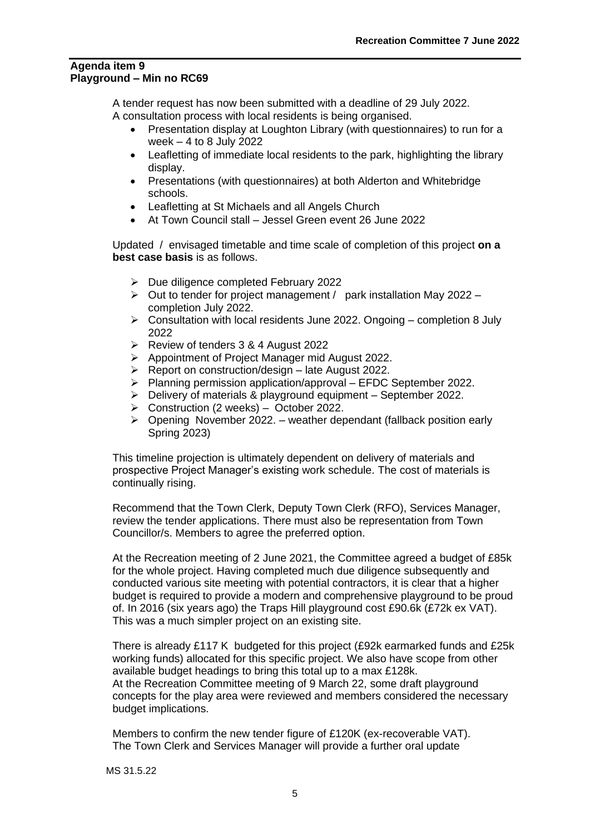#### **Agenda item 9 Playground – Min no RC69**

A tender request has now been submitted with a deadline of 29 July 2022. A consultation process with local residents is being organised.

- Presentation display at Loughton Library (with questionnaires) to run for a week – 4 to 8 July 2022
- Leafletting of immediate local residents to the park, highlighting the library display.
- Presentations (with questionnaires) at both Alderton and Whitebridge schools.
- Leafletting at St Michaels and all Angels Church
- At Town Council stall Jessel Green event 26 June 2022

Updated / envisaged timetable and time scale of completion of this project **on a best case basis** is as follows.

- ➢ Due diligence completed February 2022
- $\triangleright$  Out to tender for project management / park installation May 2022 completion July 2022.
- $\triangleright$  Consultation with local residents June 2022. Ongoing completion 8 July 2022
- ➢ Review of tenders 3 & 4 August 2022
- ➢ Appointment of Project Manager mid August 2022.
- $\triangleright$  Report on construction/design late August 2022.
- ➢ Planning permission application/approval EFDC September 2022.
- ➢ Delivery of materials & playground equipment September 2022.
- ➢ Construction (2 weeks) October 2022.
- $\triangleright$  Opening November 2022. weather dependant (fallback position early Spring 2023)

This timeline projection is ultimately dependent on delivery of materials and prospective Project Manager's existing work schedule. The cost of materials is continually rising.

Recommend that the Town Clerk, Deputy Town Clerk (RFO), Services Manager, review the tender applications. There must also be representation from Town Councillor/s. Members to agree the preferred option.

At the Recreation meeting of 2 June 2021, the Committee agreed a budget of £85k for the whole project. Having completed much due diligence subsequently and conducted various site meeting with potential contractors, it is clear that a higher budget is required to provide a modern and comprehensive playground to be proud of. In 2016 (six years ago) the Traps Hill playground cost £90.6k (£72k ex VAT). This was a much simpler project on an existing site.

There is already £117 K budgeted for this project (£92k earmarked funds and £25k working funds) allocated for this specific project. We also have scope from other available budget headings to bring this total up to a max £128k. At the Recreation Committee meeting of 9 March 22, some draft playground concepts for the play area were reviewed and members considered the necessary budget implications.

Members to confirm the new tender figure of £120K (ex-recoverable VAT). The Town Clerk and Services Manager will provide a further oral update

MS 31.5.22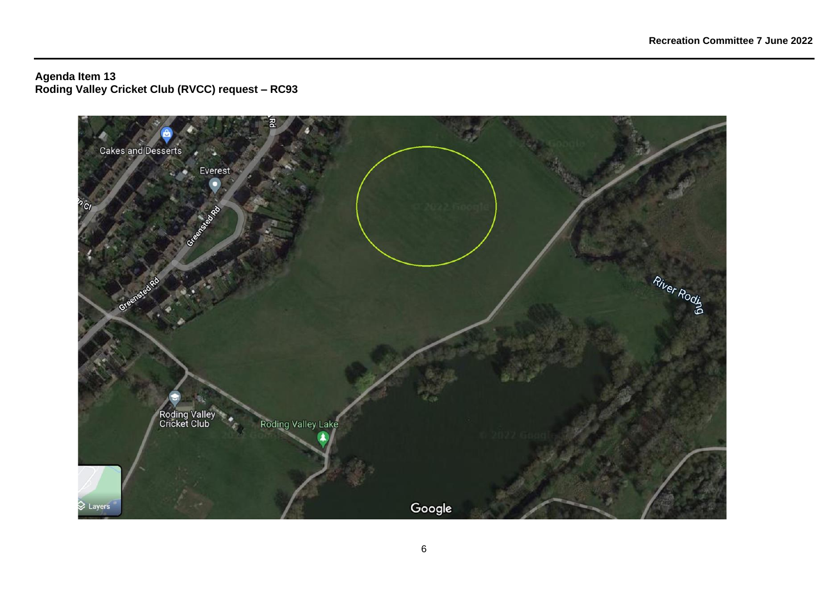**Agenda Item 13 Roding Valley Cricket Club (RVCC) request – RC93**

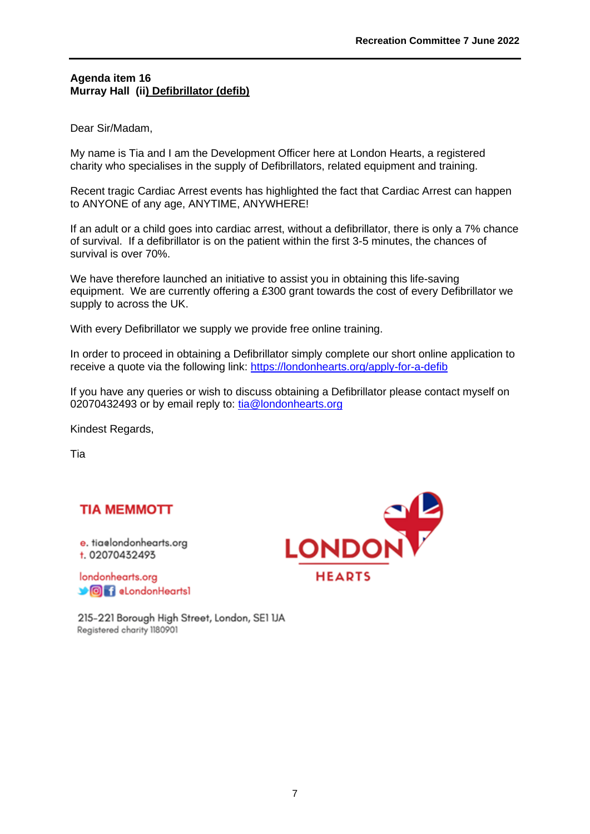# **Agenda item 16 Murray Hall (ii) Defibrillator (defib)**

Dear Sir/Madam,

My name is Tia and I am the Development Officer here at London Hearts, a registered charity who specialises in the supply of Defibrillators, related equipment and training.

Recent tragic Cardiac Arrest events has highlighted the fact that Cardiac Arrest can happen to ANYONE of any age, ANYTIME, ANYWHERE!

If an adult or a child goes into cardiac arrest, without a defibrillator, there is only a 7% chance of survival. If a defibrillator is on the patient within the first 3-5 minutes, the chances of survival is over 70%.

We have therefore launched an initiative to assist you in obtaining this life-saving equipment. We are currently offering a £300 grant towards the cost of every Defibrillator we supply to across the UK.

With every Defibrillator we supply we provide free online training.

In order to proceed in obtaining a Defibrillator simply complete our short online application to receive a quote via the following link:<https://londonhearts.org/apply-for-a-defib>

If you have any queries or wish to discuss obtaining a Defibrillator please contact myself on 02070432493 or by email reply to: [tia@londonhearts.org](mailto:tia@londonhearts.org)

Kindest Regards,

Tia

# **TIA MEMMOTT**

e. tiaelondonhearts.org t. 02070432493

londonhearts.org **OF** aLondonHeartsl

215-221 Borough High Street, London, SE1 IJA Registered charity 1180901

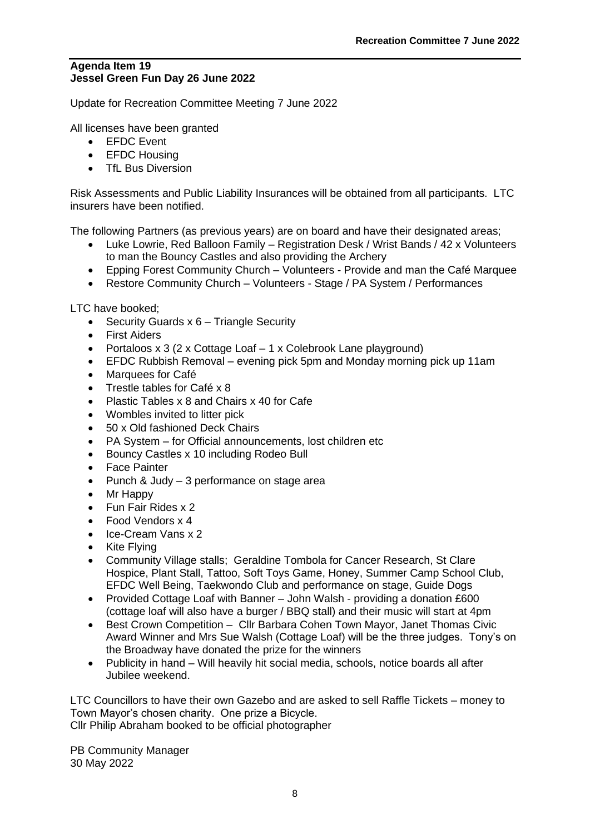# **Agenda Item 19 Jessel Green Fun Day 26 June 2022**

Update for Recreation Committee Meeting 7 June 2022

All licenses have been granted

- EFDC Event
- EFDC Housing
- TfL Bus Diversion

Risk Assessments and Public Liability Insurances will be obtained from all participants. LTC insurers have been notified.

The following Partners (as previous years) are on board and have their designated areas;

- Luke Lowrie, Red Balloon Family Registration Desk / Wrist Bands / 42 x Volunteers to man the Bouncy Castles and also providing the Archery
- Epping Forest Community Church Volunteers Provide and man the Café Marquee
- Restore Community Church Volunteers Stage / PA System / Performances

LTC have booked;

- Security Guards x 6 Triangle Security
- First Aiders
- Portaloos  $x$  3 (2 x Cottage Loaf  $-1$  x Colebrook Lane playground)
- EFDC Rubbish Removal evening pick 5pm and Monday morning pick up 11am
- Marquees for Café
- Trestle tables for Café x 8
- Plastic Tables x 8 and Chairs x 40 for Cafe
- Wombles invited to litter pick
- 50 x Old fashioned Deck Chairs
- PA System for Official announcements, lost children etc
- Bouncy Castles x 10 including Rodeo Bull
- Face Painter
- Punch & Judy 3 performance on stage area
- Mr Happy
- Fun Fair Rides x 2
- Food Vendors x 4
- Ice-Cream Vans x 2
- Kite Flying
- Community Village stalls; Geraldine Tombola for Cancer Research, St Clare Hospice, Plant Stall, Tattoo, Soft Toys Game, Honey, Summer Camp School Club, EFDC Well Being, Taekwondo Club and performance on stage, Guide Dogs
- Provided Cottage Loaf with Banner John Walsh providing a donation £600 (cottage loaf will also have a burger / BBQ stall) and their music will start at 4pm
- Best Crown Competition Cllr Barbara Cohen Town Mayor, Janet Thomas Civic Award Winner and Mrs Sue Walsh (Cottage Loaf) will be the three judges. Tony's on the Broadway have donated the prize for the winners
- Publicity in hand Will heavily hit social media, schools, notice boards all after Jubilee weekend.

LTC Councillors to have their own Gazebo and are asked to sell Raffle Tickets – money to Town Mayor's chosen charity. One prize a Bicycle. Cllr Philip Abraham booked to be official photographer

PB Community Manager 30 May 2022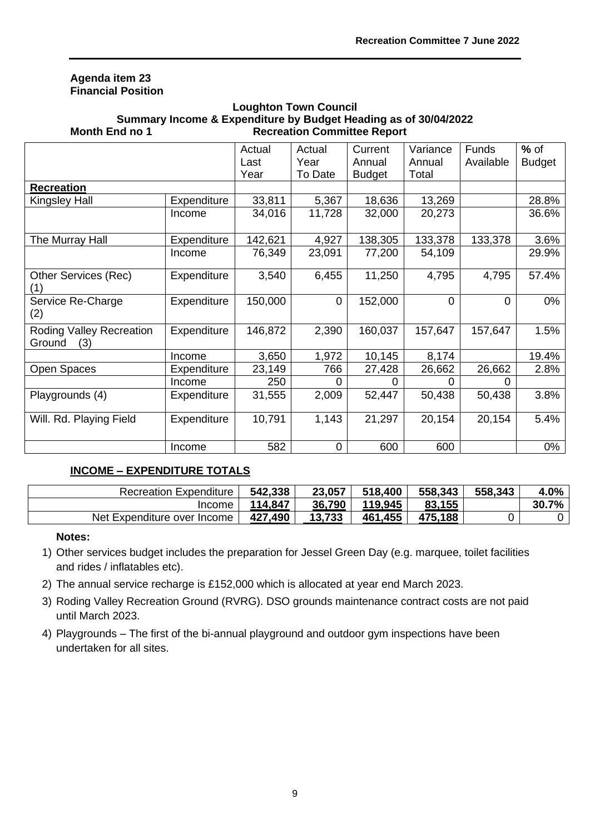# **Agenda item 23 Financial Position**

# **Loughton Town Council Summary Income & Expenditure by Budget Heading as of 30/04/2022 Month End no 1 Recreation Committee Report**

|                                                  |             | Actual<br>Last | Actual<br>Year | Current<br>Annual | Variance<br>Annual | <b>Funds</b><br>Available | $%$ of<br><b>Budget</b> |
|--------------------------------------------------|-------------|----------------|----------------|-------------------|--------------------|---------------------------|-------------------------|
| <b>Recreation</b>                                |             | Year           | To Date        | <b>Budget</b>     | Total              |                           |                         |
| Kingsley Hall                                    | Expenditure | 33,811         | 5,367          | 18,636            | 13,269             |                           | 28.8%                   |
|                                                  | Income      | 34,016         | 11,728         | 32,000            | 20,273             |                           | 36.6%                   |
| The Murray Hall                                  | Expenditure | 142,621        | 4,927          | 138,305           | 133,378            | 133,378                   | 3.6%                    |
|                                                  | Income      | 76,349         | 23,091         | 77,200            | 54,109             |                           | 29.9%                   |
| <b>Other Services (Rec)</b><br>(1)               | Expenditure | 3,540          | 6,455          | 11,250            | 4,795              | 4,795                     | 57.4%                   |
| Service Re-Charge<br>(2)                         | Expenditure | 150,000        | $\overline{0}$ | 152,000           | $\Omega$           | $\Omega$                  | 0%                      |
| <b>Roding Valley Recreation</b><br>(3)<br>Ground | Expenditure | 146,872        | 2,390          | 160,037           | 157,647            | 157,647                   | 1.5%                    |
|                                                  | Income      | 3,650          | 1,972          | 10,145            | 8,174              |                           | 19.4%                   |
| Open Spaces                                      | Expenditure | 23,149         | 766            | 27,428            | 26,662             | 26,662                    | 2.8%                    |
|                                                  | Income      | 250            | O              | O                 |                    |                           |                         |
| Playgrounds (4)                                  | Expenditure | 31,555         | 2,009          | 52,447            | 50,438             | 50,438                    | 3.8%                    |
| Will. Rd. Playing Field                          | Expenditure | 10,791         | 1,143          | 21,297            | 20,154             | 20,154                    | 5.4%                    |
|                                                  | Income      | 582            | 0              | 600               | 600                |                           | $0\%$                   |

# **INCOME – EXPENDITURE TOTALS**

| <b>Recreation Expenditure</b> | 542,338     | 23,057      | 518,400 | 558,343 | 558,343 | 4.0%      |
|-------------------------------|-------------|-------------|---------|---------|---------|-----------|
| 'ncome                        | 114,847     | 36,790      | 119,945 | 83,155  |         | 30.<br>7% |
| Net Expenditure over Income   | ,490<br>427 | 733<br>13.7 | 461,455 | 475,188 |         |           |

# **Notes:**

- 1) Other services budget includes the preparation for Jessel Green Day (e.g. marquee, toilet facilities and rides / inflatables etc).
- 2) The annual service recharge is £152,000 which is allocated at year end March 2023.
- 3) Roding Valley Recreation Ground (RVRG). DSO grounds maintenance contract costs are not paid until March 2023.
- 4) Playgrounds The first of the bi-annual playground and outdoor gym inspections have been undertaken for all sites.